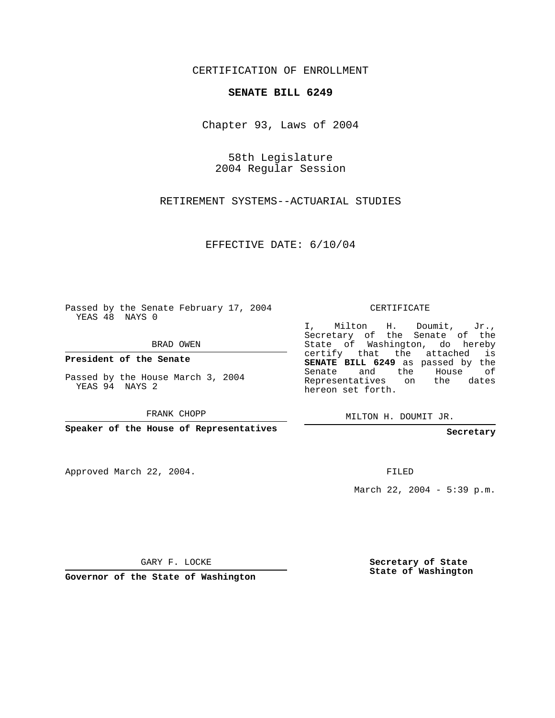CERTIFICATION OF ENROLLMENT

## **SENATE BILL 6249**

Chapter 93, Laws of 2004

58th Legislature 2004 Regular Session

RETIREMENT SYSTEMS--ACTUARIAL STUDIES

EFFECTIVE DATE: 6/10/04

Passed by the Senate February 17, 2004 YEAS 48 NAYS 0

BRAD OWEN

**President of the Senate**

Passed by the House March 3, 2004 YEAS 94 NAYS 2

FRANK CHOPP

**Speaker of the House of Representatives**

Approved March 22, 2004.

CERTIFICATE

I, Milton H. Doumit, Jr., Secretary of the Senate of the State of Washington, do hereby certify that the attached is **SENATE BILL 6249** as passed by the Senate and the House of Representatives on the dates hereon set forth.

MILTON H. DOUMIT JR.

**Secretary**

FILED

March 22, 2004 - 5:39 p.m.

GARY F. LOCKE

**Governor of the State of Washington**

**Secretary of State State of Washington**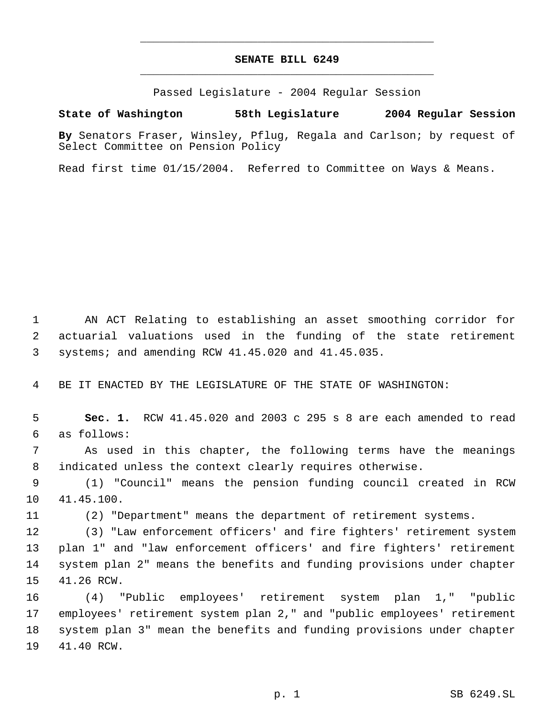## **SENATE BILL 6249** \_\_\_\_\_\_\_\_\_\_\_\_\_\_\_\_\_\_\_\_\_\_\_\_\_\_\_\_\_\_\_\_\_\_\_\_\_\_\_\_\_\_\_\_\_

\_\_\_\_\_\_\_\_\_\_\_\_\_\_\_\_\_\_\_\_\_\_\_\_\_\_\_\_\_\_\_\_\_\_\_\_\_\_\_\_\_\_\_\_\_

Passed Legislature - 2004 Regular Session

## **State of Washington 58th Legislature 2004 Regular Session**

**By** Senators Fraser, Winsley, Pflug, Regala and Carlson; by request of Select Committee on Pension Policy

Read first time 01/15/2004. Referred to Committee on Ways & Means.

 AN ACT Relating to establishing an asset smoothing corridor for actuarial valuations used in the funding of the state retirement systems; and amending RCW 41.45.020 and 41.45.035.

BE IT ENACTED BY THE LEGISLATURE OF THE STATE OF WASHINGTON:

 **Sec. 1.** RCW 41.45.020 and 2003 c 295 s 8 are each amended to read as follows:

 As used in this chapter, the following terms have the meanings indicated unless the context clearly requires otherwise.

 (1) "Council" means the pension funding council created in RCW 41.45.100.

(2) "Department" means the department of retirement systems.

 (3) "Law enforcement officers' and fire fighters' retirement system plan 1" and "law enforcement officers' and fire fighters' retirement system plan 2" means the benefits and funding provisions under chapter 41.26 RCW.

 (4) "Public employees' retirement system plan 1," "public employees' retirement system plan 2," and "public employees' retirement system plan 3" mean the benefits and funding provisions under chapter 41.40 RCW.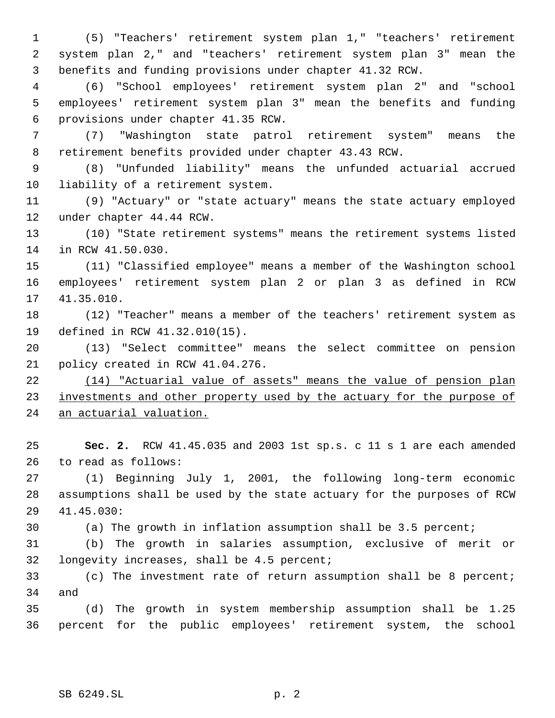(5) "Teachers' retirement system plan 1," "teachers' retirement system plan 2," and "teachers' retirement system plan 3" mean the benefits and funding provisions under chapter 41.32 RCW.

 (6) "School employees' retirement system plan 2" and "school employees' retirement system plan 3" mean the benefits and funding provisions under chapter 41.35 RCW.

 (7) "Washington state patrol retirement system" means the retirement benefits provided under chapter 43.43 RCW.

 (8) "Unfunded liability" means the unfunded actuarial accrued liability of a retirement system.

 (9) "Actuary" or "state actuary" means the state actuary employed under chapter 44.44 RCW.

 (10) "State retirement systems" means the retirement systems listed in RCW 41.50.030.

 (11) "Classified employee" means a member of the Washington school employees' retirement system plan 2 or plan 3 as defined in RCW 41.35.010.

 (12) "Teacher" means a member of the teachers' retirement system as defined in RCW 41.32.010(15).

 (13) "Select committee" means the select committee on pension policy created in RCW 41.04.276.

 (14) "Actuarial value of assets" means the value of pension plan 23 investments and other property used by the actuary for the purpose of an actuarial valuation.

 **Sec. 2.** RCW 41.45.035 and 2003 1st sp.s. c 11 s 1 are each amended to read as follows:

 (1) Beginning July 1, 2001, the following long-term economic assumptions shall be used by the state actuary for the purposes of RCW 41.45.030:

(a) The growth in inflation assumption shall be 3.5 percent;

 (b) The growth in salaries assumption, exclusive of merit or longevity increases, shall be 4.5 percent;

 (c) The investment rate of return assumption shall be 8 percent; and

 (d) The growth in system membership assumption shall be 1.25 percent for the public employees' retirement system, the school